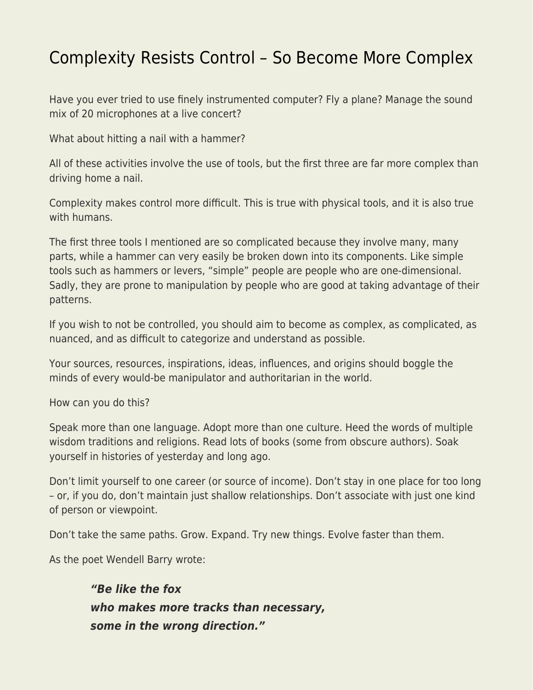## [Complexity Resists Control – So Become More Complex](https://everything-voluntary.com/complexity-resists-control-so-become-more-complex)

Have you ever tried to use finely instrumented computer? Fly a plane? Manage the sound mix of 20 microphones at a live concert?

What about hitting a nail with a hammer?

All of these activities involve the use of tools, but the first three are far more complex than driving home a nail.

Complexity makes control more difficult. This is true with physical tools, and it is also true with humans.

The first three tools I mentioned are so complicated because they involve many, many parts, while a hammer can very easily be broken down into its components. Like simple tools such as hammers or levers, "simple" people are people who are one-dimensional. Sadly, they are prone to manipulation by people who are good at taking advantage of their patterns.

If you wish to not be controlled, you should aim to become as complex, as complicated, as nuanced, and as difficult to categorize and understand as possible.

Your sources, resources, inspirations, ideas, influences, and origins should boggle the minds of every would-be manipulator and authoritarian in the world.

How can you do this?

Speak more than one language. Adopt more than one culture. Heed the words of multiple wisdom traditions and religions. Read lots of books (some from obscure authors). Soak yourself in histories of yesterday and long ago.

Don't limit yourself to one career (or source of income). Don't stay in one place for too long – or, if you do, don't maintain just shallow relationships. Don't associate with just one kind of person or viewpoint.

Don't take the same paths. Grow. Expand. Try new things. Evolve faster than them.

As the poet Wendell Barry wrote:

*"Be like the fox who makes more tracks than necessary, some in the wrong direction."*